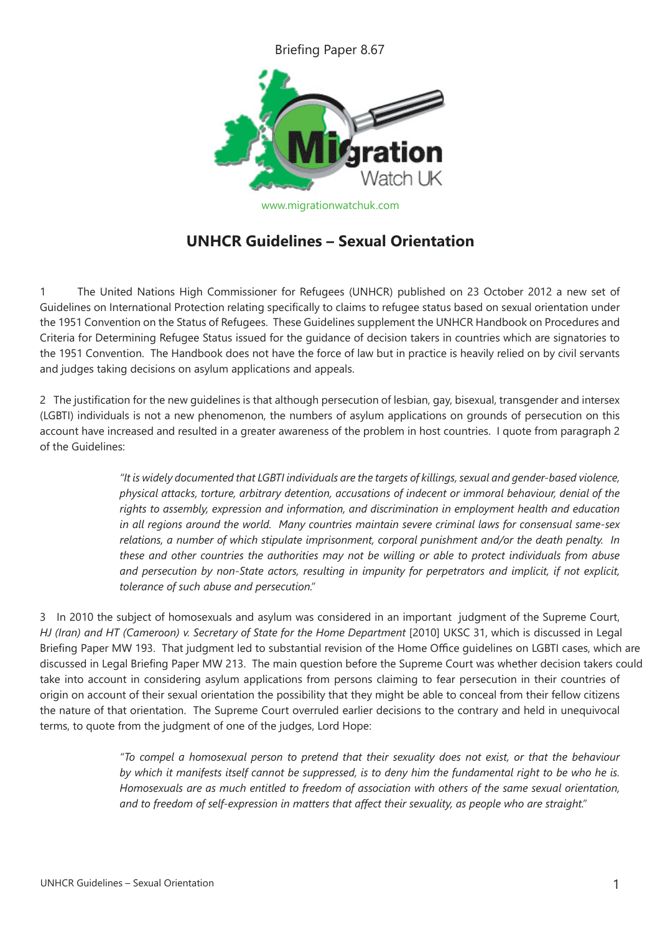Briefing Paper 8.67



www.migrationwatchuk.com

## **UNHCR Guidelines – Sexual Orientation**

1 The United Nations High Commissioner for Refugees (UNHCR) published on 23 October 2012 a new set of Guidelines on International Protection relating specifically to claims to refugee status based on sexual orientation under the 1951 Convention on the Status of Refugees. These Guidelines supplement the UNHCR Handbook on Procedures and Criteria for Determining Refugee Status issued for the guidance of decision takers in countries which are signatories to the 1951 Convention. The Handbook does not have the force of law but in practice is heavily relied on by civil servants and judges taking decisions on asylum applications and appeals.

2 The justification for the new guidelines is that although persecution of lesbian, gay, bisexual, transgender and intersex (LGBTI) individuals is not a new phenomenon, the numbers of asylum applications on grounds of persecution on this account have increased and resulted in a greater awareness of the problem in host countries. I quote from paragraph 2 of the Guidelines:

> *"It is widely documented that LGBTI individuals are the targets of killings, sexual and gender-based violence, physical attacks, torture, arbitrary detention, accusations of indecent or immoral behaviour, denial of the rights to assembly, expression and information, and discrimination in employment health and education in all regions around the world. Many countries maintain severe criminal laws for consensual same-sex relations, a number of which stipulate imprisonment, corporal punishment and/or the death penalty. In these and other countries the authorities may not be willing or able to protect individuals from abuse and persecution by non-State actors, resulting in impunity for perpetrators and implicit, if not explicit, tolerance of such abuse and persecution."*

3 In 2010 the subject of homosexuals and asylum was considered in an important judgment of the Supreme Court, *HJ (Iran) and HT (Cameroon) v. Secretary of State for the Home Department* [2010] UKSC 31, which is discussed in Legal Briefing Paper MW 193. That judgment led to substantial revision of the Home Office guidelines on LGBTI cases, which are discussed in Legal Briefing Paper MW 213. The main question before the Supreme Court was whether decision takers could take into account in considering asylum applications from persons claiming to fear persecution in their countries of origin on account of their sexual orientation the possibility that they might be able to conceal from their fellow citizens the nature of that orientation. The Supreme Court overruled earlier decisions to the contrary and held in unequivocal terms, to quote from the judgment of one of the judges, Lord Hope:

> *"To compel a homosexual person to pretend that their sexuality does not exist, or that the behaviour by which it manifests itself cannot be suppressed, is to deny him the fundamental right to be who he is. Homosexuals are as much entitled to freedom of association with others of the same sexual orientation, and to freedom of self-expression in matters that affect their sexuality, as people who are straight."*